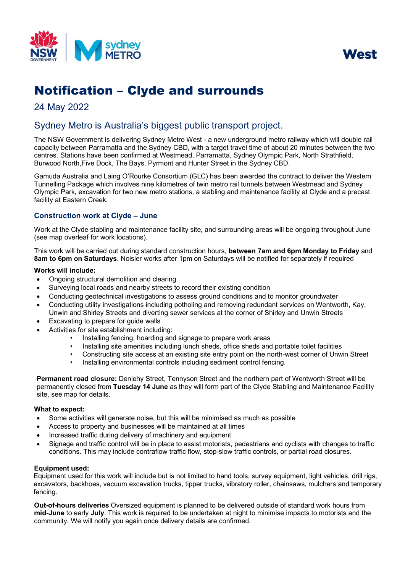



# Notification – Clyde and surrounds

## 24 May 2022

# Sydney Metro is Australia's biggest public transport project.

The NSW Government is delivering Sydney Metro West - a new underground metro railway which will double rail capacity between Parramatta and the Sydney CBD, with a target travel time of about 20 minutes between the two centres. Stations have been confirmed at Westmead, Parramatta, Sydney Olympic Park, North Strathfield, Burwood North,Five Dock, The Bays, Pyrmont and Hunter Street in the Sydney CBD.

Gamuda Australia and Laing O'Rourke Consortium (GLC) has been awarded the contract to deliver the Western Tunnelling Package which involves nine kilometres of twin metro rail tunnels between Westmead and Sydney Olympic Park, excavation for two new metro stations, a stabling and maintenance facility at Clyde and a precast facility at Eastern Creek.

## **Construction work at Clyde – June**

Work at the Clyde stabling and maintenance facility site, and surrounding areas will be ongoing throughout June (see map overleaf for work locations).

This work will be carried out during standard construction hours, **between 7am and 6pm Monday to Friday** and **8am to 6pm on Saturdays**. Noisier works after 1pm on Saturdays will be notified for separately if required

#### **Works will include:**

- Ongoing structural demolition and clearing
- Surveying local roads and nearby streets to record their existing condition
- Conducting geotechnical investigations to assess ground conditions and to monitor groundwater
- Conducting utility investigations including potholing and removing redundant services on Wentworth, Kay, Unwin and Shirley Streets and diverting sewer services at the corner of Shirley and Unwin Streets
- Excavating to prepare for guide walls
	- Activities for site establishment including:
		- Installing fencing, hoarding and signage to prepare work areas
		- Installing site amenities including lunch sheds, office sheds and portable toilet facilities
		- Constructing site access at an existing site entry point on the north-west corner of Unwin Street
			- Installing environmental controls including sediment control fencing.

**Permanent road closure:** Deniehy Street, Tennyson Street and the northern part of Wentworth Street will be permanently closed from **Tuesday 14 June** as they will form part of the Clyde Stabling and Maintenance Facility site, see map for details.

#### **What to expect:**

- Some activities will generate noise, but this will be minimised as much as possible
- Access to property and businesses will be maintained at all times
- Increased traffic during delivery of machinery and equipment
- Signage and traffic control will be in place to assist motorists, pedestrians and cyclists with changes to traffic conditions. This may include contraflow traffic flow, stop-slow traffic controls, or partial road closures.

#### **Equipment used:**

Equipment used for this work will include but is not limited to hand tools, survey equipment, light vehicles, drill rigs, excavators, backhoes, vacuum excavation trucks, tipper trucks, vibratory roller, chainsaws, mulchers and temporary fencing.

**Out-of-hours deliveries** Oversized equipment is planned to be delivered outside of standard work hours from **mid-June** to early **July**. This work is required to be undertaken at night to minimise impacts to motorists and the community. We will notify you again once delivery details are confirmed.